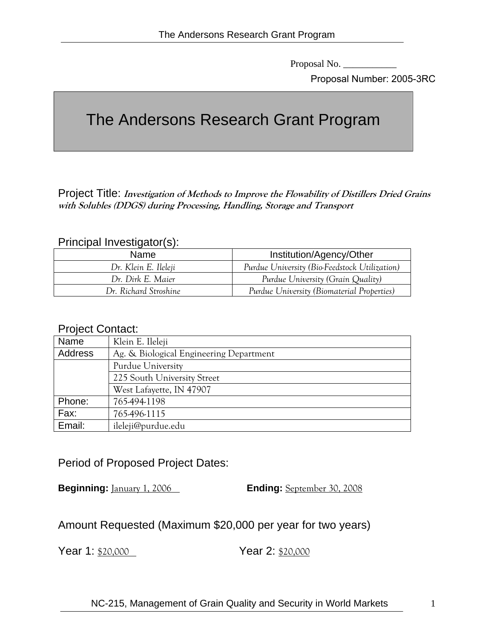Proposal No. \_\_\_\_\_\_\_\_\_\_\_

Proposal Number: 2005-3RC

# The Andersons Research Grant Program

Project Title: **Investigation of Methods to Improve the Flowability of Distillers Dried Grains with Solubles (DDGS) during Processing, Handling, Storage and Transport**

#### Principal Investigator(s):

| <b>Name</b>           | Institution/Agency/Other                      |
|-----------------------|-----------------------------------------------|
| Dr. Klein E. Ileleji  | Purdue University (Bio-Feedstock Utilization) |
| Dr. Dirk E. Maier     | Purdue University (Grain Quality)             |
| Dr. Richard Stroshine | Purdue University (Biomaterial Properties)    |

#### Project Contact:

| Name    | Klein E. Ileleji                        |
|---------|-----------------------------------------|
| Address | Ag. & Biological Engineering Department |
|         | Purdue University                       |
|         | 225 South University Street             |
|         | West Lafayette, IN 47907                |
| Phone:  | 765-494-1198                            |
| Fax:    | 765-496-1115                            |
| Email:  | ileleji@purdue.edu                      |

Period of Proposed Project Dates:

**Beginning:** January 1, 2006 **Ending:** September 30, 2008

## Amount Requested (Maximum \$20,000 per year for two years)

Year 1: \$20,000 Year 2: \$20,000